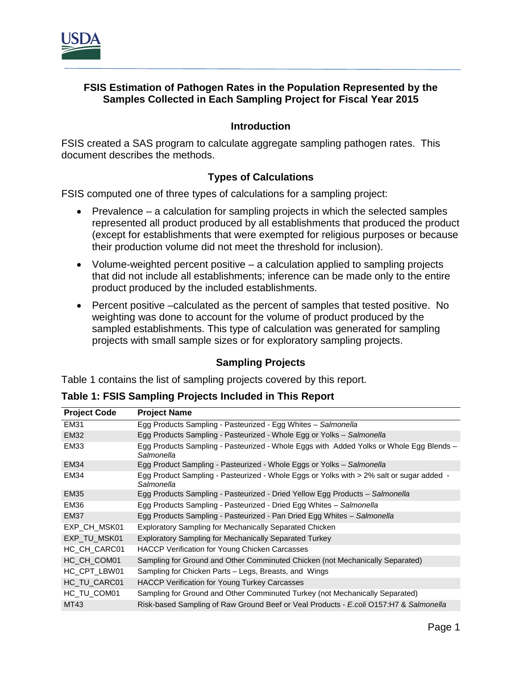

## **FSIS Estimation of Pathogen Rates in the Population Represented by the Samples Collected in Each Sampling Project for Fiscal Year 2015**

## **Introduction**

FSIS created a SAS program to calculate aggregate sampling pathogen rates. This document describes the methods.

## **Types of Calculations**

FSIS computed one of three types of calculations for a sampling project:

- Prevalence a calculation for sampling projects in which the selected samples represented all product produced by all establishments that produced the product (except for establishments that were exempted for religious purposes or because their production volume did not meet the threshold for inclusion).
- Volume-weighted percent positive a calculation applied to sampling projects that did not include all establishments; inference can be made only to the entire product produced by the included establishments.
- Percent positive –calculated as the percent of samples that tested positive. No weighting was done to account for the volume of product produced by the sampled establishments. This type of calculation was generated for sampling projects with small sample sizes or for exploratory sampling projects.

#### **Sampling Projects**

Table 1 contains the list of sampling projects covered by this report.

**Table 1: FSIS Sampling Projects Included in This Report**

| <b>Project Code</b> | <b>Project Name</b>                                                                                    |
|---------------------|--------------------------------------------------------------------------------------------------------|
| <b>EM31</b>         | Egg Products Sampling - Pasteurized - Egg Whites - Salmonella                                          |
| <b>EM32</b>         | Egg Products Sampling - Pasteurized - Whole Egg or Yolks - Salmonella                                  |
| <b>EM33</b>         | Egg Products Sampling - Pasteurized - Whole Eggs with Added Yolks or Whole Egg Blends -<br>Salmonella  |
| <b>EM34</b>         | Egg Product Sampling - Pasteurized - Whole Eggs or Yolks - Salmonella                                  |
| <b>EM34</b>         | Egg Product Sampling - Pasteurized - Whole Eggs or Yolks with > 2% salt or sugar added -<br>Salmonella |
| <b>EM35</b>         | Egg Products Sampling - Pasteurized - Dried Yellow Egg Products - Salmonella                           |
| <b>EM36</b>         | Egg Products Sampling - Pasteurized - Dried Egg Whites - Salmonella                                    |
| <b>EM37</b>         | Egg Products Sampling - Pasteurized - Pan Dried Egg Whites - Salmonella                                |
| EXP_CH_MSK01        | <b>Exploratory Sampling for Mechanically Separated Chicken</b>                                         |
| EXP TU MSK01        | Exploratory Sampling for Mechanically Separated Turkey                                                 |
| HC CH CARC01        | <b>HACCP Verification for Young Chicken Carcasses</b>                                                  |
| HC CH COM01         | Sampling for Ground and Other Comminuted Chicken (not Mechanically Separated)                          |
| HC_CPT_LBW01        | Sampling for Chicken Parts – Legs, Breasts, and Wings                                                  |
| HC TU CARC01        | HACCP Verification for Young Turkey Carcasses                                                          |
| HC TU COM01         | Sampling for Ground and Other Comminuted Turkey (not Mechanically Separated)                           |
| MT43                | Risk-based Sampling of Raw Ground Beef or Veal Products - E.coli O157:H7 & Salmonella                  |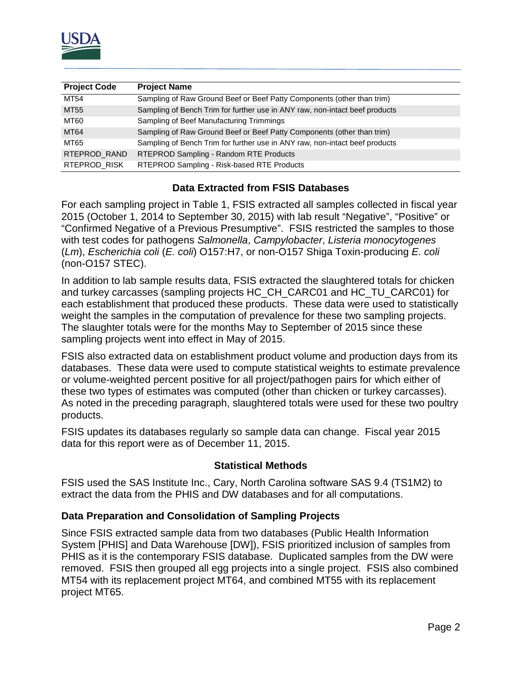

| <b>Project Code</b> | <b>Project Name</b>                                                         |
|---------------------|-----------------------------------------------------------------------------|
| MT54                | Sampling of Raw Ground Beef or Beef Patty Components (other than trim)      |
| MT55                | Sampling of Bench Trim for further use in ANY raw, non-intact beef products |
| MT60                | Sampling of Beef Manufacturing Trimmings                                    |
| <b>MT64</b>         | Sampling of Raw Ground Beef or Beef Patty Components (other than trim)      |
| MT65                | Sampling of Bench Trim for further use in ANY raw, non-intact beef products |
| RTEPROD_RAND        | RTEPROD Sampling - Random RTE Products                                      |
| RTEPROD RISK        | RTEPROD Sampling - Risk-based RTE Products                                  |

## **Data Extracted from FSIS Databases**

For each sampling project in Table 1, FSIS extracted all samples collected in fiscal year 2015 (October 1, 2014 to September 30, 2015) with lab result "Negative", "Positive" or "Confirmed Negative of a Previous Presumptive". FSIS restricted the samples to those with test codes for pathogens *Salmonella*, *Campylobacter*, *Listeria monocytogenes* (*Lm*), *Escherichia coli* (*E. coli*) O157:H7, or non-O157 Shiga Toxin-producing *E. coli* (non-O157 STEC).

In addition to lab sample results data, FSIS extracted the slaughtered totals for chicken and turkey carcasses (sampling projects HC\_CH\_CARC01 and HC\_TU\_CARC01) for each establishment that produced these products. These data were used to statistically weight the samples in the computation of prevalence for these two sampling projects. The slaughter totals were for the months May to September of 2015 since these sampling projects went into effect in May of 2015.

FSIS also extracted data on establishment product volume and production days from its databases. These data were used to compute statistical weights to estimate prevalence or volume-weighted percent positive for all project/pathogen pairs for which either of these two types of estimates was computed (other than chicken or turkey carcasses). As noted in the preceding paragraph, slaughtered totals were used for these two poultry products.

FSIS updates its databases regularly so sample data can change. Fiscal year 2015 data for this report were as of December 11, 2015.

#### **Statistical Methods**

FSIS used the SAS Institute Inc., Cary, North Carolina software SAS 9.4 (TS1M2) to extract the data from the PHIS and DW databases and for all computations.

#### **Data Preparation and Consolidation of Sampling Projects**

Since FSIS extracted sample data from two databases (Public Health Information System [PHIS] and Data Warehouse [DW]), FSIS prioritized inclusion of samples from PHIS as it is the contemporary FSIS database. Duplicated samples from the DW were removed. FSIS then grouped all egg projects into a single project. FSIS also combined MT54 with its replacement project MT64, and combined MT55 with its replacement project MT65.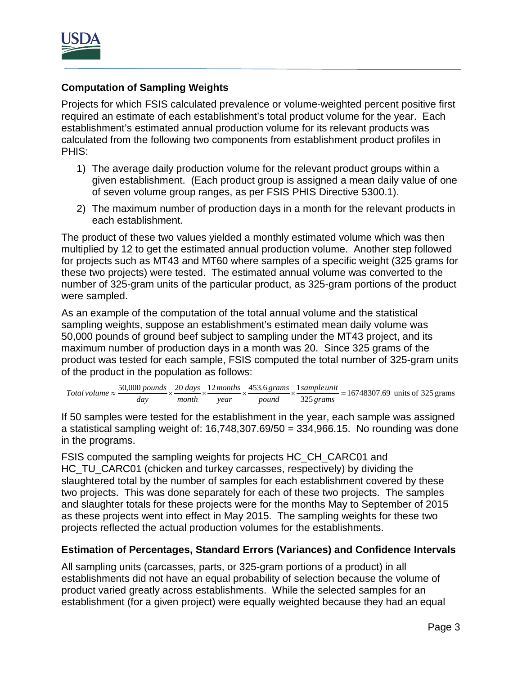

# **Computation of Sampling Weights**

Projects for which FSIS calculated prevalence or volume-weighted percent positive first required an estimate of each establishment's total product volume for the year. Each establishment's estimated annual production volume for its relevant products was calculated from the following two components from establishment product profiles in PHIS:

- 1) The average daily production volume for the relevant product groups within a given establishment. (Each product group is assigned a mean daily value of one of seven volume group ranges, as per FSIS PHIS Directive 5300.1).
- 2) The maximum number of production days in a month for the relevant products in each establishment.

The product of these two values yielded a monthly estimated volume which was then multiplied by 12 to get the estimated annual production volume. Another step followed for projects such as MT43 and MT60 where samples of a specific weight (325 grams for these two projects) were tested. The estimated annual volume was converted to the number of 325-gram units of the particular product, as 325-gram portions of the product were sampled.

As an example of the computation of the total annual volume and the statistical sampling weights, suppose an establishment's estimated mean daily volume was 50,000 pounds of ground beef subject to sampling under the MT43 project, and its maximum number of production days in a month was 20. Since 325 grams of the product was tested for each sample, FSIS computed the total number of 325-gram units of the product in the population as follows:

Total volume 
$$
\approx \frac{50,000 \text{ pounds}}{day} \times \frac{20 \text{ days}}{month} \times \frac{12 \text{ months}}{year} \times \frac{453.6 \text{ grams}}{round} \times \frac{1 \text{ sample unit}}{325 \text{ grams}} = 16748307.69 \text{ units of } 325 \text{ grams}
$$

If 50 samples were tested for the establishment in the year, each sample was assigned a statistical sampling weight of:  $16,748,307.69/50 = 334,966.15$ . No rounding was done in the programs.

FSIS computed the sampling weights for projects HC\_CH\_CARC01 and HC\_TU\_CARC01 (chicken and turkey carcasses, respectively) by dividing the slaughtered total by the number of samples for each establishment covered by these two projects. This was done separately for each of these two projects. The samples and slaughter totals for these projects were for the months May to September of 2015 as these projects went into effect in May 2015. The sampling weights for these two projects reflected the actual production volumes for the establishments.

## **Estimation of Percentages, Standard Errors (Variances) and Confidence Intervals**

All sampling units (carcasses, parts, or 325-gram portions of a product) in all establishments did not have an equal probability of selection because the volume of product varied greatly across establishments. While the selected samples for an establishment (for a given project) were equally weighted because they had an equal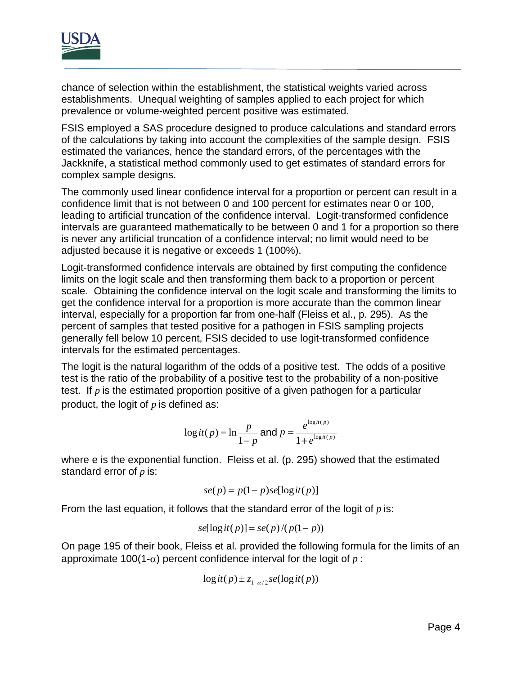

chance of selection within the establishment, the statistical weights varied across establishments. Unequal weighting of samples applied to each project for which prevalence or volume-weighted percent positive was estimated.

FSIS employed a SAS procedure designed to produce calculations and standard errors of the calculations by taking into account the complexities of the sample design. FSIS estimated the variances, hence the standard errors, of the percentages with the Jackknife, a statistical method commonly used to get estimates of standard errors for complex sample designs.

The commonly used linear confidence interval for a proportion or percent can result in a confidence limit that is not between 0 and 100 percent for estimates near 0 or 100, leading to artificial truncation of the confidence interval. Logit-transformed confidence intervals are guaranteed mathematically to be between 0 and 1 for a proportion so there is never any artificial truncation of a confidence interval; no limit would need to be adjusted because it is negative or exceeds 1 (100%).

Logit-transformed confidence intervals are obtained by first computing the confidence limits on the logit scale and then transforming them back to a proportion or percent scale. Obtaining the confidence interval on the logit scale and transforming the limits to get the confidence interval for a proportion is more accurate than the common linear interval, especially for a proportion far from one-half (Fleiss et al., p. 295). As the percent of samples that tested positive for a pathogen in FSIS sampling projects generally fell below 10 percent, FSIS decided to use logit-transformed confidence intervals for the estimated percentages.

The logit is the natural logarithm of the odds of a positive test. The odds of a positive test is the ratio of the probability of a positive test to the probability of a non-positive test. If *p* is the estimated proportion positive of a given pathogen for a particular product, the logit of *p* is defined as:

$$
\log it(p) = \ln \frac{p}{1-p} \text{ and } p = \frac{e^{\log it(p)}}{1 + e^{\log it(p)}}
$$

where e is the exponential function. Fleiss et al. (p. 295) showed that the estimated standard error of *p* is:

$$
se(p) = p(1-p)se[\log it(p)]
$$

From the last equation, it follows that the standard error of the logit of *p* is:

$$
se[logit(p)] = se(p)/(p(1-p))
$$

On page 195 of their book, Fleiss et al. provided the following formula for the limits of an approximate 100(1- $\alpha$ ) percent confidence interval for the logit of p:

$$
\log it(p) \pm z_{1-\alpha/2} se(\log it(p))
$$